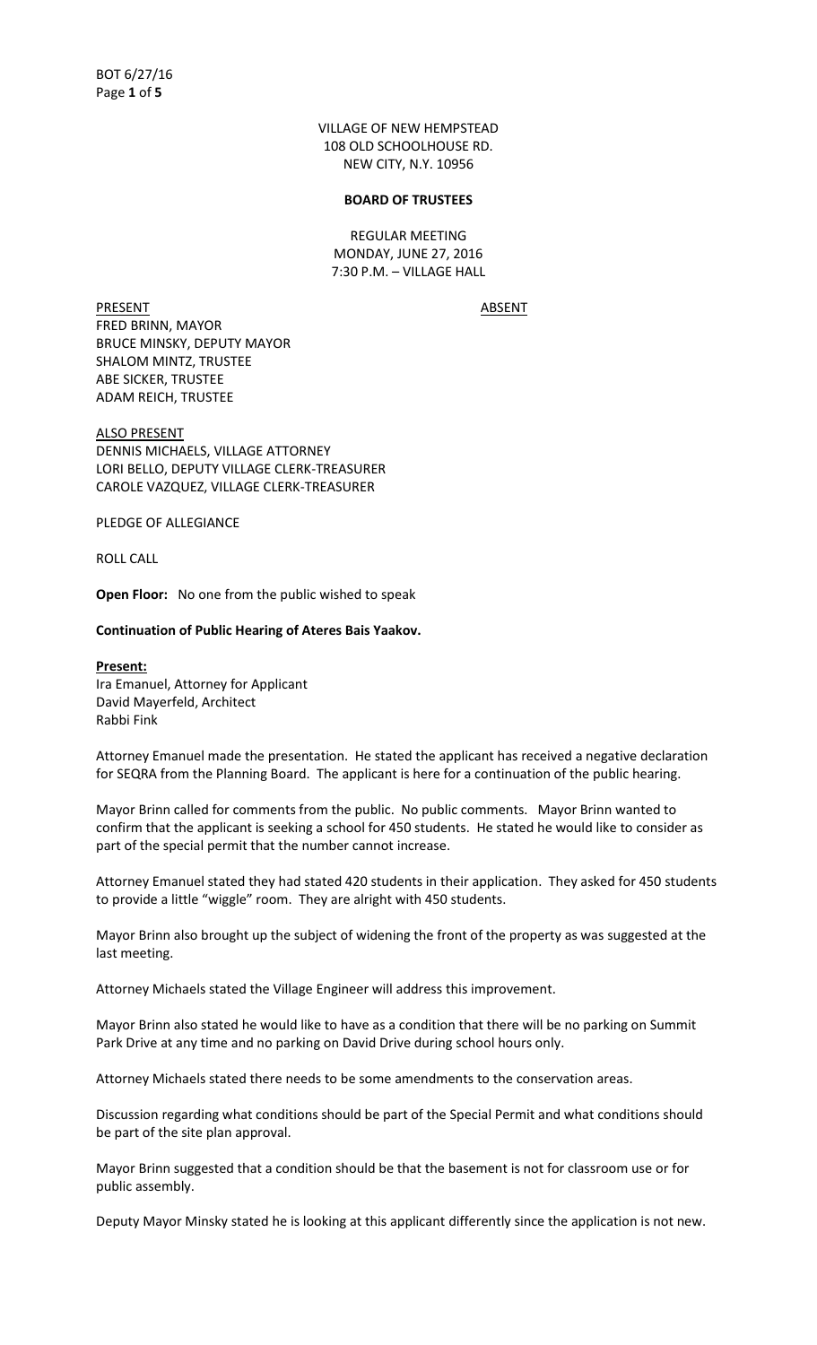VILLAGE OF NEW HEMPSTEAD 108 OLD SCHOOLHOUSE RD. NEW CITY, N.Y. 10956

#### **BOARD OF TRUSTEES**

REGULAR MEETING MONDAY, JUNE 27, 2016 7:30 P.M. – VILLAGE HALL

PRESENT ABSENT FRED BRINN, MAYOR BRUCE MINSKY, DEPUTY MAYOR SHALOM MINTZ, TRUSTEE ABE SICKER, TRUSTEE ADAM REICH, TRUSTEE

ALSO PRESENT DENNIS MICHAELS, VILLAGE ATTORNEY LORI BELLO, DEPUTY VILLAGE CLERK-TREASURER CAROLE VAZQUEZ, VILLAGE CLERK-TREASURER

PLEDGE OF ALLEGIANCE

ROLL CALL

Rabbi Fink

**Open Floor:** No one from the public wished to speak

### **Continuation of Public Hearing of Ateres Bais Yaakov.**

**Present:** Ira Emanuel, Attorney for Applicant David Mayerfeld, Architect

Attorney Emanuel made the presentation. He stated the applicant has received a negative declaration for SEQRA from the Planning Board. The applicant is here for a continuation of the public hearing.

Mayor Brinn called for comments from the public. No public comments. Mayor Brinn wanted to confirm that the applicant is seeking a school for 450 students. He stated he would like to consider as part of the special permit that the number cannot increase.

Attorney Emanuel stated they had stated 420 students in their application. They asked for 450 students to provide a little "wiggle" room. They are alright with 450 students.

Mayor Brinn also brought up the subject of widening the front of the property as was suggested at the last meeting.

Attorney Michaels stated the Village Engineer will address this improvement.

Mayor Brinn also stated he would like to have as a condition that there will be no parking on Summit Park Drive at any time and no parking on David Drive during school hours only.

Attorney Michaels stated there needs to be some amendments to the conservation areas.

Discussion regarding what conditions should be part of the Special Permit and what conditions should be part of the site plan approval.

Mayor Brinn suggested that a condition should be that the basement is not for classroom use or for public assembly.

Deputy Mayor Minsky stated he is looking at this applicant differently since the application is not new.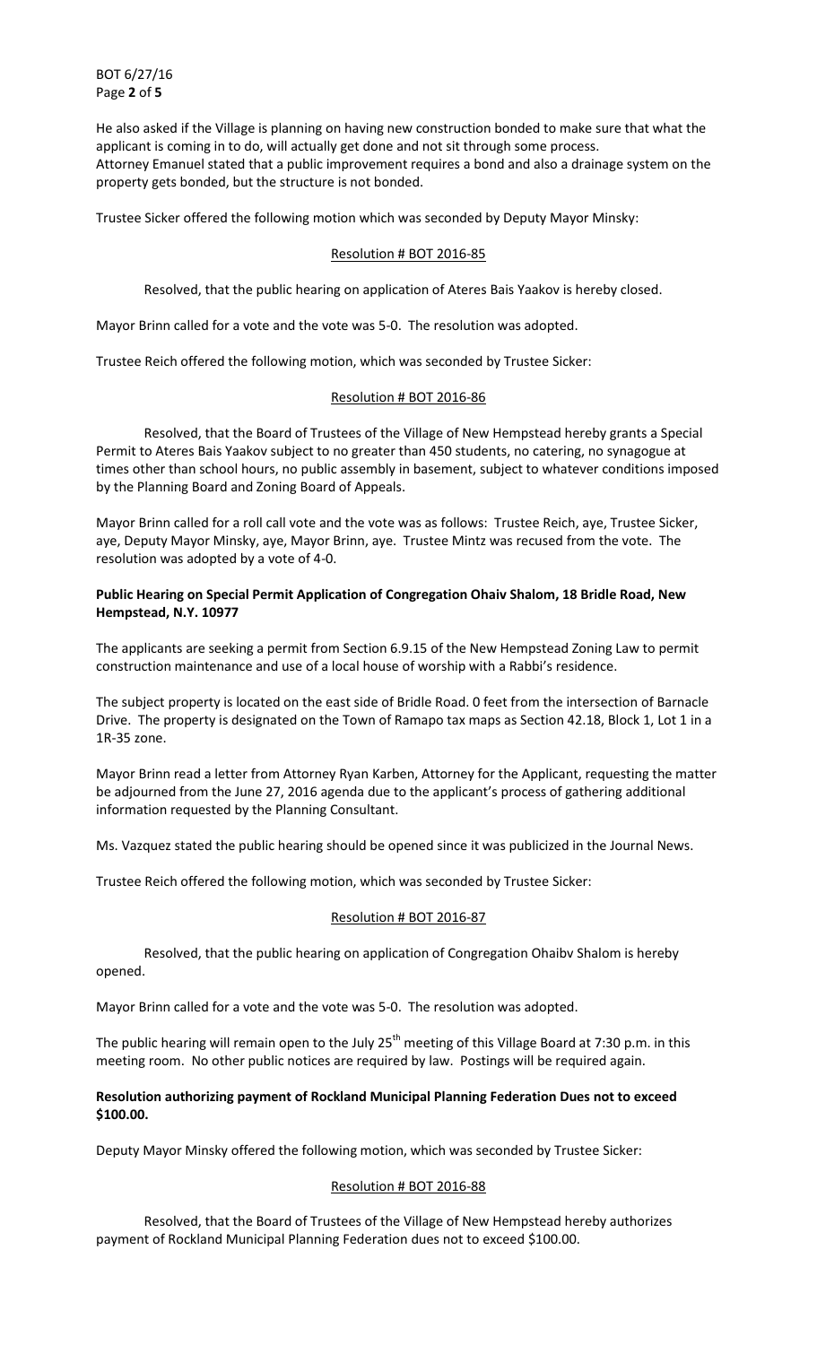BOT 6/27/16 Page **2** of **5**

He also asked if the Village is planning on having new construction bonded to make sure that what the applicant is coming in to do, will actually get done and not sit through some process. Attorney Emanuel stated that a public improvement requires a bond and also a drainage system on the property gets bonded, but the structure is not bonded.

Trustee Sicker offered the following motion which was seconded by Deputy Mayor Minsky:

# Resolution # BOT 2016-85

Resolved, that the public hearing on application of Ateres Bais Yaakov is hereby closed.

Mayor Brinn called for a vote and the vote was 5-0. The resolution was adopted.

Trustee Reich offered the following motion, which was seconded by Trustee Sicker:

# Resolution # BOT 2016-86

 Resolved, that the Board of Trustees of the Village of New Hempstead hereby grants a Special Permit to Ateres Bais Yaakov subject to no greater than 450 students, no catering, no synagogue at times other than school hours, no public assembly in basement, subject to whatever conditions imposed by the Planning Board and Zoning Board of Appeals.

Mayor Brinn called for a roll call vote and the vote was as follows: Trustee Reich, aye, Trustee Sicker, aye, Deputy Mayor Minsky, aye, Mayor Brinn, aye. Trustee Mintz was recused from the vote. The resolution was adopted by a vote of 4-0.

# **Public Hearing on Special Permit Application of Congregation Ohaiv Shalom, 18 Bridle Road, New Hempstead, N.Y. 10977**

The applicants are seeking a permit from Section 6.9.15 of the New Hempstead Zoning Law to permit construction maintenance and use of a local house of worship with a Rabbi's residence.

The subject property is located on the east side of Bridle Road. 0 feet from the intersection of Barnacle Drive. The property is designated on the Town of Ramapo tax maps as Section 42.18, Block 1, Lot 1 in a 1R-35 zone.

Mayor Brinn read a letter from Attorney Ryan Karben, Attorney for the Applicant, requesting the matter be adjourned from the June 27, 2016 agenda due to the applicant's process of gathering additional information requested by the Planning Consultant.

Ms. Vazquez stated the public hearing should be opened since it was publicized in the Journal News.

Trustee Reich offered the following motion, which was seconded by Trustee Sicker:

# Resolution # BOT 2016-87

 Resolved, that the public hearing on application of Congregation Ohaibv Shalom is hereby opened.

Mayor Brinn called for a vote and the vote was 5-0. The resolution was adopted.

The public hearing will remain open to the July 25<sup>th</sup> meeting of this Village Board at 7:30 p.m. in this meeting room. No other public notices are required by law. Postings will be required again.

# **Resolution authorizing payment of Rockland Municipal Planning Federation Dues not to exceed \$100.00.**

Deputy Mayor Minsky offered the following motion, which was seconded by Trustee Sicker:

# Resolution # BOT 2016-88

 Resolved, that the Board of Trustees of the Village of New Hempstead hereby authorizes payment of Rockland Municipal Planning Federation dues not to exceed \$100.00.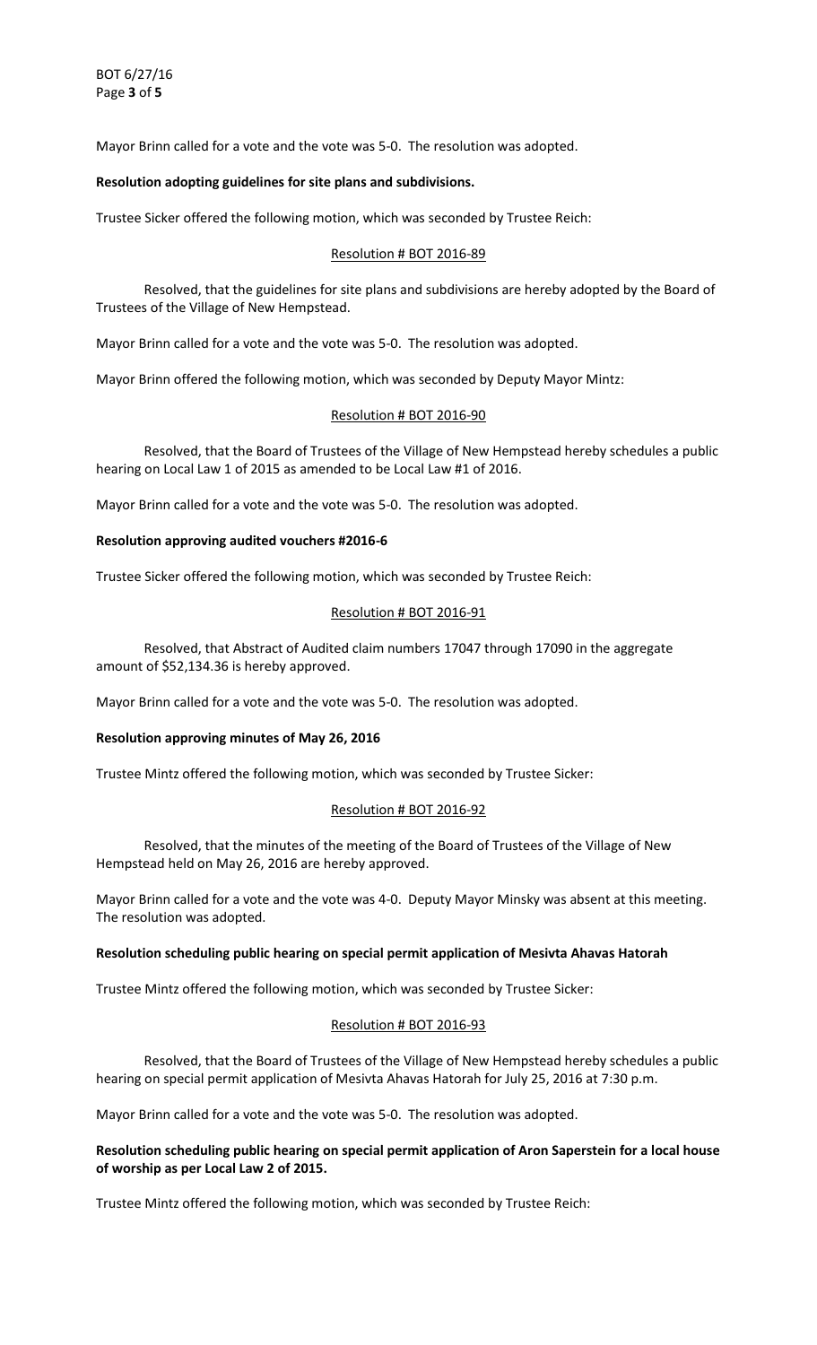BOT 6/27/16 Page **3** of **5**

Mayor Brinn called for a vote and the vote was 5-0. The resolution was adopted.

## **Resolution adopting guidelines for site plans and subdivisions.**

Trustee Sicker offered the following motion, which was seconded by Trustee Reich:

### Resolution # BOT 2016-89

 Resolved, that the guidelines for site plans and subdivisions are hereby adopted by the Board of Trustees of the Village of New Hempstead.

Mayor Brinn called for a vote and the vote was 5-0. The resolution was adopted.

Mayor Brinn offered the following motion, which was seconded by Deputy Mayor Mintz:

### Resolution # BOT 2016-90

 Resolved, that the Board of Trustees of the Village of New Hempstead hereby schedules a public hearing on Local Law 1 of 2015 as amended to be Local Law #1 of 2016.

Mayor Brinn called for a vote and the vote was 5-0. The resolution was adopted.

### **Resolution approving audited vouchers #2016-6**

Trustee Sicker offered the following motion, which was seconded by Trustee Reich:

## Resolution # BOT 2016-91

 Resolved, that Abstract of Audited claim numbers 17047 through 17090 in the aggregate amount of \$52,134.36 is hereby approved.

Mayor Brinn called for a vote and the vote was 5-0. The resolution was adopted.

### **Resolution approving minutes of May 26, 2016**

Trustee Mintz offered the following motion, which was seconded by Trustee Sicker:

### Resolution # BOT 2016-92

 Resolved, that the minutes of the meeting of the Board of Trustees of the Village of New Hempstead held on May 26, 2016 are hereby approved.

Mayor Brinn called for a vote and the vote was 4-0. Deputy Mayor Minsky was absent at this meeting. The resolution was adopted.

### **Resolution scheduling public hearing on special permit application of Mesivta Ahavas Hatorah**

Trustee Mintz offered the following motion, which was seconded by Trustee Sicker:

### Resolution # BOT 2016-93

 Resolved, that the Board of Trustees of the Village of New Hempstead hereby schedules a public hearing on special permit application of Mesivta Ahavas Hatorah for July 25, 2016 at 7:30 p.m.

Mayor Brinn called for a vote and the vote was 5-0. The resolution was adopted.

# **Resolution scheduling public hearing on special permit application of Aron Saperstein for a local house of worship as per Local Law 2 of 2015.**

Trustee Mintz offered the following motion, which was seconded by Trustee Reich: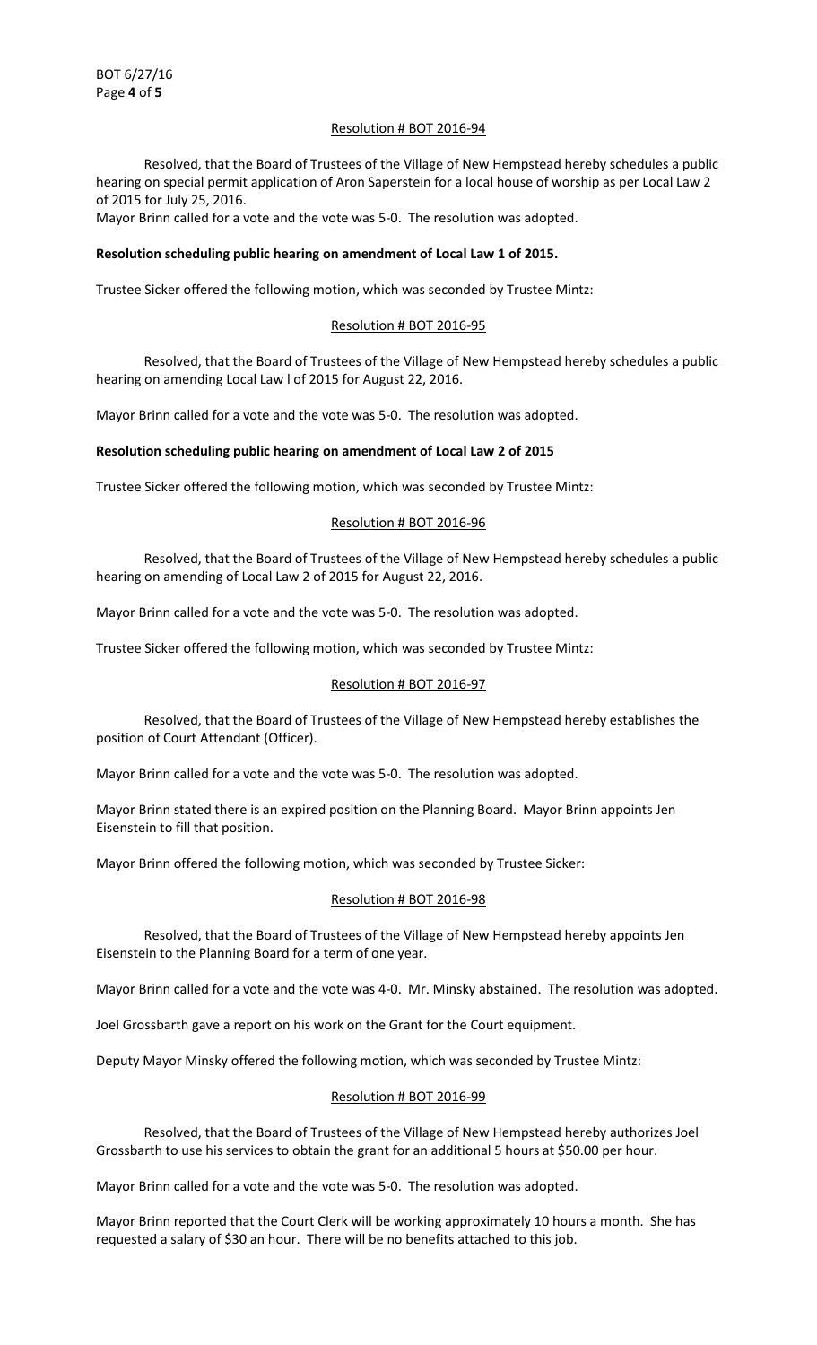# Resolution # BOT 2016-94

 Resolved, that the Board of Trustees of the Village of New Hempstead hereby schedules a public hearing on special permit application of Aron Saperstein for a local house of worship as per Local Law 2 of 2015 for July 25, 2016.

Mayor Brinn called for a vote and the vote was 5-0. The resolution was adopted.

## **Resolution scheduling public hearing on amendment of Local Law 1 of 2015.**

Trustee Sicker offered the following motion, which was seconded by Trustee Mintz:

## Resolution # BOT 2016-95

 Resolved, that the Board of Trustees of the Village of New Hempstead hereby schedules a public hearing on amending Local Law l of 2015 for August 22, 2016.

Mayor Brinn called for a vote and the vote was 5-0. The resolution was adopted.

#### **Resolution scheduling public hearing on amendment of Local Law 2 of 2015**

Trustee Sicker offered the following motion, which was seconded by Trustee Mintz:

#### Resolution # BOT 2016-96

 Resolved, that the Board of Trustees of the Village of New Hempstead hereby schedules a public hearing on amending of Local Law 2 of 2015 for August 22, 2016.

Mayor Brinn called for a vote and the vote was 5-0. The resolution was adopted.

Trustee Sicker offered the following motion, which was seconded by Trustee Mintz:

#### Resolution # BOT 2016-97

 Resolved, that the Board of Trustees of the Village of New Hempstead hereby establishes the position of Court Attendant (Officer).

Mayor Brinn called for a vote and the vote was 5-0. The resolution was adopted.

Mayor Brinn stated there is an expired position on the Planning Board. Mayor Brinn appoints Jen Eisenstein to fill that position.

Mayor Brinn offered the following motion, which was seconded by Trustee Sicker:

### Resolution # BOT 2016-98

 Resolved, that the Board of Trustees of the Village of New Hempstead hereby appoints Jen Eisenstein to the Planning Board for a term of one year.

Mayor Brinn called for a vote and the vote was 4-0. Mr. Minsky abstained. The resolution was adopted.

Joel Grossbarth gave a report on his work on the Grant for the Court equipment.

Deputy Mayor Minsky offered the following motion, which was seconded by Trustee Mintz:

## Resolution # BOT 2016-99

 Resolved, that the Board of Trustees of the Village of New Hempstead hereby authorizes Joel Grossbarth to use his services to obtain the grant for an additional 5 hours at \$50.00 per hour.

Mayor Brinn called for a vote and the vote was 5-0. The resolution was adopted.

Mayor Brinn reported that the Court Clerk will be working approximately 10 hours a month. She has requested a salary of \$30 an hour. There will be no benefits attached to this job.